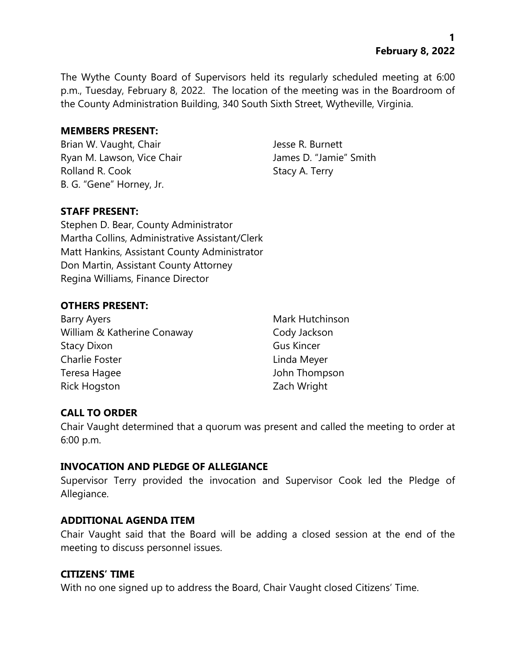The Wythe County Board of Supervisors held its regularly scheduled meeting at 6:00 p.m., Tuesday, February 8, 2022. The location of the meeting was in the Boardroom of the County Administration Building, 340 South Sixth Street, Wytheville, Virginia.

#### **MEMBERS PRESENT:**

Brian W. Vaught, Chair Jesse R. Burnett Ryan M. Lawson, Vice Chair **James D. "Jamie"** Smith Rolland R. Cook Stacy A. Terry B. G. "Gene" Horney, Jr.

### **STAFF PRESENT:**

Stephen D. Bear, County Administrator Martha Collins, Administrative Assistant/Clerk Matt Hankins, Assistant County Administrator Don Martin, Assistant County Attorney Regina Williams, Finance Director

#### **OTHERS PRESENT:**

Barry Ayers **Mark Hutchinson** William & Katherine Conaway **Cody Jackson** Stacy Dixon Gus Kincer Charlie Foster **Linda Meyer** Teresa Hagee John Thompson Rick Hogston **Zach Wright** 

### **CALL TO ORDER**

Chair Vaught determined that a quorum was present and called the meeting to order at 6:00 p.m.

#### **INVOCATION AND PLEDGE OF ALLEGIANCE**

Supervisor Terry provided the invocation and Supervisor Cook led the Pledge of Allegiance.

#### **ADDITIONAL AGENDA ITEM**

Chair Vaught said that the Board will be adding a closed session at the end of the meeting to discuss personnel issues.

#### **CITIZENS' TIME**

With no one signed up to address the Board, Chair Vaught closed Citizens' Time.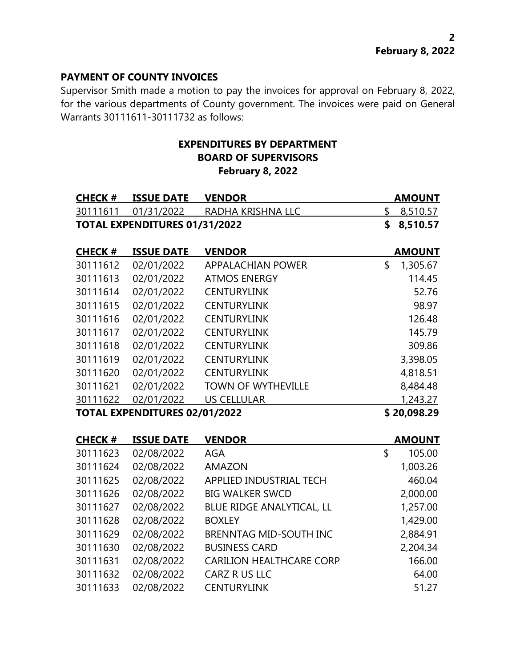#### **PAYMENT OF COUNTY INVOICES**

Supervisor Smith made a motion to pay the invoices for approval on February 8, 2022, for the various departments of County government. The invoices were paid on General Warrants 30111611-30111732 as follows:

# **EXPENDITURES BY DEPARTMENT BOARD OF SUPERVISORS February 8, 2022**

| <b>CHECK #</b>                       | <b>ISSUE DATE</b>                    | <b>VENDOR</b>                   | <b>AMOUNT</b>  |
|--------------------------------------|--------------------------------------|---------------------------------|----------------|
| 30111611                             | 01/31/2022                           | RADHA KRISHNA LLC               | \$<br>8,510.57 |
|                                      | <b>TOTAL EXPENDITURES 01/31/2022</b> |                                 | \$<br>8,510.57 |
| <b>CHECK #</b>                       | <b>ISSUE DATE</b>                    | <b>VENDOR</b>                   | <b>AMOUNT</b>  |
| 30111612                             | 02/01/2022                           | <b>APPALACHIAN POWER</b>        | \$<br>1,305.67 |
| 30111613                             | 02/01/2022                           | <b>ATMOS ENERGY</b>             | 114.45         |
| 30111614                             | 02/01/2022                           | <b>CENTURYLINK</b>              | 52.76          |
| 30111615                             | 02/01/2022                           | <b>CENTURYLINK</b>              | 98.97          |
| 30111616                             | 02/01/2022                           | <b>CENTURYLINK</b>              | 126.48         |
| 30111617                             | 02/01/2022                           | <b>CENTURYLINK</b>              | 145.79         |
| 30111618                             | 02/01/2022                           | <b>CENTURYLINK</b>              | 309.86         |
| 30111619                             | 02/01/2022                           | <b>CENTURYLINK</b>              | 3,398.05       |
| 30111620                             | 02/01/2022                           | <b>CENTURYLINK</b>              | 4,818.51       |
| 30111621                             | 02/01/2022                           | <b>TOWN OF WYTHEVILLE</b>       | 8,484.48       |
| 30111622                             | 02/01/2022                           | <b>US CELLULAR</b>              | 1,243.27       |
| <b>TOTAL EXPENDITURES 02/01/2022</b> |                                      | \$20,098.29                     |                |
| <b>CHECK#</b>                        | <b>ISSUE DATE</b>                    | <b>VENDOR</b>                   | <b>AMOUNT</b>  |
| 30111623                             | 02/08/2022                           | <b>AGA</b>                      | \$<br>105.00   |
| 30111624                             | 02/08/2022                           | <b>AMAZON</b>                   | 1,003.26       |
| 30111625                             | 02/08/2022                           | APPLIED INDUSTRIAL TECH         | 460.04         |
| 30111626                             | 02/08/2022                           | <b>BIG WALKER SWCD</b>          | 2,000.00       |
| 30111627                             | 02/08/2022                           | BLUE RIDGE ANALYTICAL, LL       | 1,257.00       |
| 30111628                             | 02/08/2022                           | <b>BOXLEY</b>                   | 1,429.00       |
| 30111629                             | 02/08/2022                           | <b>BRENNTAG MID-SOUTH INC</b>   | 2,884.91       |
| 30111630                             | 02/08/2022                           | <b>BUSINESS CARD</b>            | 2,204.34       |
| 30111631                             | 02/08/2022                           | <b>CARILION HEALTHCARE CORP</b> | 166.00         |
| 30111632                             | 02/08/2022                           | CARZ R US LLC                   | 64.00          |

02/08/2022 CENTURYLINK 51.27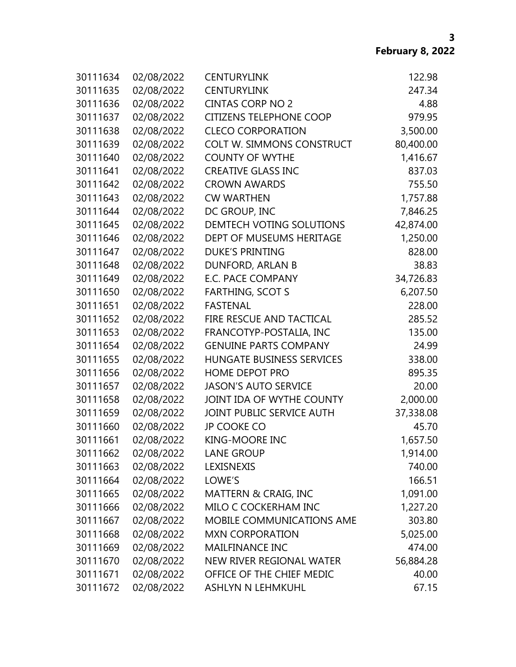| 30111634 | 02/08/2022 | <b>CENTURYLINK</b>               | 122.98    |
|----------|------------|----------------------------------|-----------|
| 30111635 | 02/08/2022 | <b>CENTURYLINK</b>               | 247.34    |
| 30111636 | 02/08/2022 | <b>CINTAS CORP NO 2</b>          | 4.88      |
| 30111637 | 02/08/2022 | <b>CITIZENS TELEPHONE COOP</b>   | 979.95    |
| 30111638 | 02/08/2022 | <b>CLECO CORPORATION</b>         | 3,500.00  |
| 30111639 | 02/08/2022 | <b>COLT W. SIMMONS CONSTRUCT</b> | 80,400.00 |
| 30111640 | 02/08/2022 | <b>COUNTY OF WYTHE</b>           | 1,416.67  |
| 30111641 | 02/08/2022 | <b>CREATIVE GLASS INC</b>        | 837.03    |
| 30111642 | 02/08/2022 | <b>CROWN AWARDS</b>              | 755.50    |
| 30111643 | 02/08/2022 | <b>CW WARTHEN</b>                | 1,757.88  |
| 30111644 | 02/08/2022 | DC GROUP, INC                    | 7,846.25  |
| 30111645 | 02/08/2022 | DEMTECH VOTING SOLUTIONS         | 42,874.00 |
| 30111646 | 02/08/2022 | DEPT OF MUSEUMS HERITAGE         | 1,250.00  |
| 30111647 | 02/08/2022 | <b>DUKE'S PRINTING</b>           | 828.00    |
| 30111648 | 02/08/2022 | DUNFORD, ARLAN B                 | 38.83     |
| 30111649 | 02/08/2022 | <b>E.C. PACE COMPANY</b>         | 34,726.83 |
| 30111650 | 02/08/2022 | <b>FARTHING, SCOT S</b>          | 6,207.50  |
| 30111651 | 02/08/2022 | <b>FASTENAL</b>                  | 228.00    |
| 30111652 | 02/08/2022 | FIRE RESCUE AND TACTICAL         | 285.52    |
| 30111653 | 02/08/2022 | FRANCOTYP-POSTALIA, INC          | 135.00    |
| 30111654 | 02/08/2022 | <b>GENUINE PARTS COMPANY</b>     | 24.99     |
| 30111655 | 02/08/2022 | HUNGATE BUSINESS SERVICES        | 338.00    |
| 30111656 | 02/08/2022 | <b>HOME DEPOT PRO</b>            | 895.35    |
| 30111657 | 02/08/2022 | <b>JASON'S AUTO SERVICE</b>      | 20.00     |
| 30111658 | 02/08/2022 | JOINT IDA OF WYTHE COUNTY        | 2,000.00  |
| 30111659 | 02/08/2022 | JOINT PUBLIC SERVICE AUTH        | 37,338.08 |
| 30111660 | 02/08/2022 | <b>JP COOKE CO</b>               | 45.70     |
| 30111661 | 02/08/2022 | <b>KING-MOORE INC</b>            | 1,657.50  |
| 30111662 | 02/08/2022 | <b>LANE GROUP</b>                | 1,914.00  |
| 30111663 | 02/08/2022 | LEXISNEXIS                       | 740.00    |
| 30111664 | 02/08/2022 | LOWE'S                           | 166.51    |
| 30111665 | 02/08/2022 | MATTERN & CRAIG, INC             | 1,091.00  |
| 30111666 | 02/08/2022 | MILO C COCKERHAM INC             | 1,227.20  |
| 30111667 | 02/08/2022 | MOBILE COMMUNICATIONS AME        | 303.80    |
| 30111668 | 02/08/2022 | <b>MXN CORPORATION</b>           | 5,025.00  |
| 30111669 | 02/08/2022 | <b>MAILFINANCE INC</b>           | 474.00    |
| 30111670 | 02/08/2022 | NEW RIVER REGIONAL WATER         | 56,884.28 |
| 30111671 | 02/08/2022 | OFFICE OF THE CHIEF MEDIC        | 40.00     |
| 30111672 | 02/08/2022 | <b>ASHLYN N LEHMKUHL</b>         | 67.15     |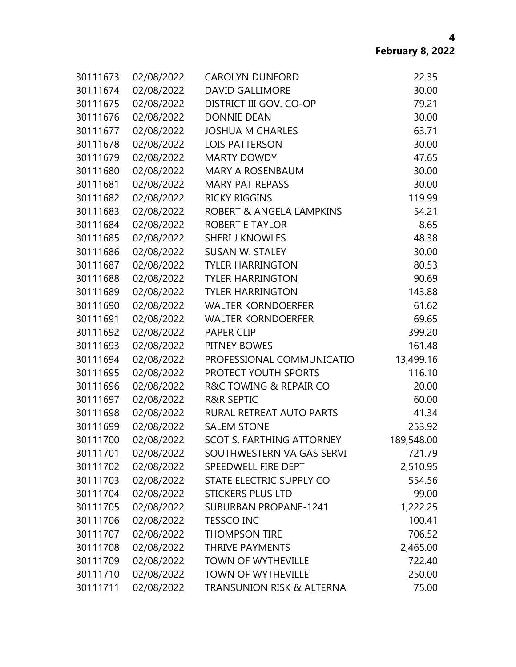| 30111673 | 02/08/2022 | <b>CAROLYN DUNFORD</b>           | 22.35      |
|----------|------------|----------------------------------|------------|
| 30111674 | 02/08/2022 | <b>DAVID GALLIMORE</b>           | 30.00      |
| 30111675 | 02/08/2022 | DISTRICT III GOV. CO-OP          | 79.21      |
| 30111676 | 02/08/2022 | <b>DONNIE DEAN</b>               | 30.00      |
| 30111677 | 02/08/2022 | <b>JOSHUA M CHARLES</b>          | 63.71      |
| 30111678 | 02/08/2022 | <b>LOIS PATTERSON</b>            | 30.00      |
| 30111679 | 02/08/2022 | <b>MARTY DOWDY</b>               | 47.65      |
| 30111680 | 02/08/2022 | MARY A ROSENBAUM                 | 30.00      |
| 30111681 | 02/08/2022 | <b>MARY PAT REPASS</b>           | 30.00      |
| 30111682 | 02/08/2022 | <b>RICKY RIGGINS</b>             | 119.99     |
| 30111683 | 02/08/2022 | ROBERT & ANGELA LAMPKINS         | 54.21      |
| 30111684 | 02/08/2022 | <b>ROBERT E TAYLOR</b>           | 8.65       |
| 30111685 | 02/08/2022 | <b>SHERI J KNOWLES</b>           | 48.38      |
| 30111686 | 02/08/2022 | <b>SUSAN W. STALEY</b>           | 30.00      |
| 30111687 | 02/08/2022 | <b>TYLER HARRINGTON</b>          | 80.53      |
| 30111688 | 02/08/2022 | <b>TYLER HARRINGTON</b>          | 90.69      |
| 30111689 | 02/08/2022 | <b>TYLER HARRINGTON</b>          | 143.88     |
| 30111690 | 02/08/2022 | <b>WALTER KORNDOERFER</b>        | 61.62      |
| 30111691 | 02/08/2022 | <b>WALTER KORNDOERFER</b>        | 69.65      |
| 30111692 | 02/08/2022 | <b>PAPER CLIP</b>                | 399.20     |
| 30111693 | 02/08/2022 | PITNEY BOWES                     | 161.48     |
| 30111694 | 02/08/2022 | PROFESSIONAL COMMUNICATIO        | 13,499.16  |
| 30111695 | 02/08/2022 | PROTECT YOUTH SPORTS             | 116.10     |
| 30111696 | 02/08/2022 | R&C TOWING & REPAIR CO           | 20.00      |
| 30111697 | 02/08/2022 | <b>R&amp;R SEPTIC</b>            | 60.00      |
| 30111698 | 02/08/2022 | RURAL RETREAT AUTO PARTS         | 41.34      |
| 30111699 | 02/08/2022 | <b>SALEM STONE</b>               | 253.92     |
| 30111700 | 02/08/2022 | <b>SCOT S. FARTHING ATTORNEY</b> | 189,548.00 |
| 30111701 | 02/08/2022 | SOUTHWESTERN VA GAS SERVI        | 721.79     |
| 30111702 | 02/08/2022 | SPEEDWELL FIRE DEPT              | 2,510.95   |
| 30111703 | 02/08/2022 | STATE ELECTRIC SUPPLY CO         | 554.56     |
| 30111704 | 02/08/2022 | <b>STICKERS PLUS LTD</b>         | 99.00      |
| 30111705 | 02/08/2022 | <b>SUBURBAN PROPANE-1241</b>     | 1,222.25   |
| 30111706 | 02/08/2022 | <b>TESSCO INC</b>                | 100.41     |
| 30111707 | 02/08/2022 | <b>THOMPSON TIRE</b>             | 706.52     |
| 30111708 | 02/08/2022 | <b>THRIVE PAYMENTS</b>           | 2,465.00   |
| 30111709 | 02/08/2022 | <b>TOWN OF WYTHEVILLE</b>        | 722.40     |
| 30111710 | 02/08/2022 | <b>TOWN OF WYTHEVILLE</b>        | 250.00     |
| 30111711 | 02/08/2022 | TRANSUNION RISK & ALTERNA        | 75.00      |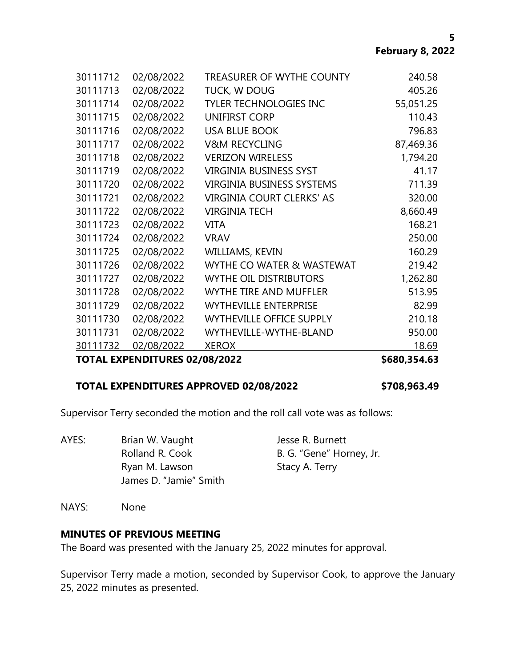| <b>XEROX</b>                     | 18.69     |
|----------------------------------|-----------|
|                                  |           |
| WYTHEVILLE-WYTHE-BLAND           | 950.00    |
| <b>WYTHEVILLE OFFICE SUPPLY</b>  | 210.18    |
| <b>WYTHEVILLE ENTERPRISE</b>     | 82.99     |
| <b>WYTHE TIRE AND MUFFLER</b>    | 513.95    |
| <b>WYTHE OIL DISTRIBUTORS</b>    | 1,262.80  |
| WYTHE CO WATER & WASTEWAT        | 219.42    |
| WILLIAMS, KEVIN                  | 160.29    |
| <b>VRAV</b>                      | 250.00    |
| <b>VITA</b>                      | 168.21    |
| <b>VIRGINIA TECH</b>             | 8,660.49  |
| <b>VIRGINIA COURT CLERKS' AS</b> | 320.00    |
| <b>VIRGINIA BUSINESS SYSTEMS</b> | 711.39    |
| <b>VIRGINIA BUSINESS SYST</b>    | 41.17     |
| <b>VERIZON WIRELESS</b>          | 1,794.20  |
| <b>V&amp;M RECYCLING</b>         | 87,469.36 |
| <b>USA BLUE BOOK</b>             | 796.83    |
| <b>UNIFIRST CORP</b>             | 110.43    |
| <b>TYLER TECHNOLOGIES INC</b>    | 55,051.25 |
| TUCK, W DOUG                     | 405.26    |
| <b>TREASURER OF WYTHE COUNTY</b> | 240.58    |
|                                  |           |

#### **TOTAL EXPENDITURES APPROVED 02/08/2022 \$708,963.49**

Supervisor Terry seconded the motion and the roll call vote was as follows:

AYES: Brian W. Vaught Jesse R. Burnett Rolland R. Cook B. G. "Gene" Horney, Jr. Ryan M. Lawson Stacy A. Terry James D. "Jamie" Smith

NAYS: None

#### **MINUTES OF PREVIOUS MEETING**

The Board was presented with the January 25, 2022 minutes for approval.

Supervisor Terry made a motion, seconded by Supervisor Cook, to approve the January 25, 2022 minutes as presented.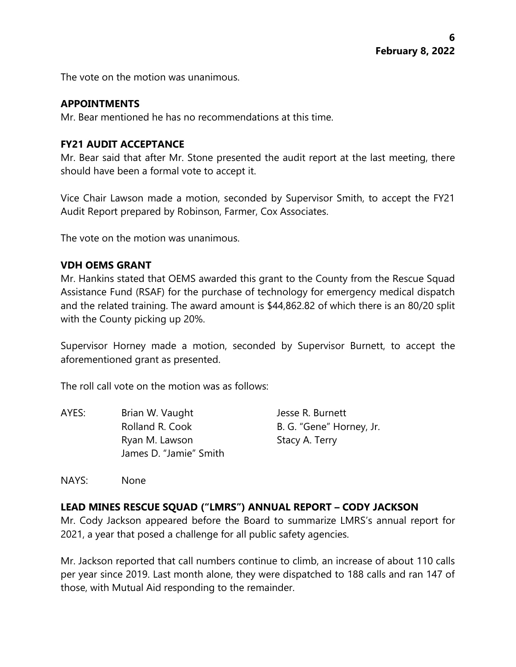The vote on the motion was unanimous.

#### **APPOINTMENTS**

Mr. Bear mentioned he has no recommendations at this time.

## **FY21 AUDIT ACCEPTANCE**

Mr. Bear said that after Mr. Stone presented the audit report at the last meeting, there should have been a formal vote to accept it.

Vice Chair Lawson made a motion, seconded by Supervisor Smith, to accept the FY21 Audit Report prepared by Robinson, Farmer, Cox Associates.

The vote on the motion was unanimous.

### **VDH OEMS GRANT**

Mr. Hankins stated that OEMS awarded this grant to the County from the Rescue Squad Assistance Fund (RSAF) for the purchase of technology for emergency medical dispatch and the related training. The award amount is \$44,862.82 of which there is an 80/20 split with the County picking up 20%.

Supervisor Horney made a motion, seconded by Supervisor Burnett, to accept the aforementioned grant as presented.

The roll call vote on the motion was as follows:

| AYES: | Brian W. Vaught        | Jesse R. Burnett         |
|-------|------------------------|--------------------------|
|       | Rolland R. Cook        | B. G. "Gene" Horney, Jr. |
|       | Ryan M. Lawson         | Stacy A. Terry           |
|       | James D. "Jamie" Smith |                          |
|       |                        |                          |

NAYS: None

# **LEAD MINES RESCUE SQUAD ("LMRS") ANNUAL REPORT – CODY JACKSON**

Mr. Cody Jackson appeared before the Board to summarize LMRS's annual report for 2021, a year that posed a challenge for all public safety agencies.

Mr. Jackson reported that call numbers continue to climb, an increase of about 110 calls per year since 2019. Last month alone, they were dispatched to 188 calls and ran 147 of those, with Mutual Aid responding to the remainder.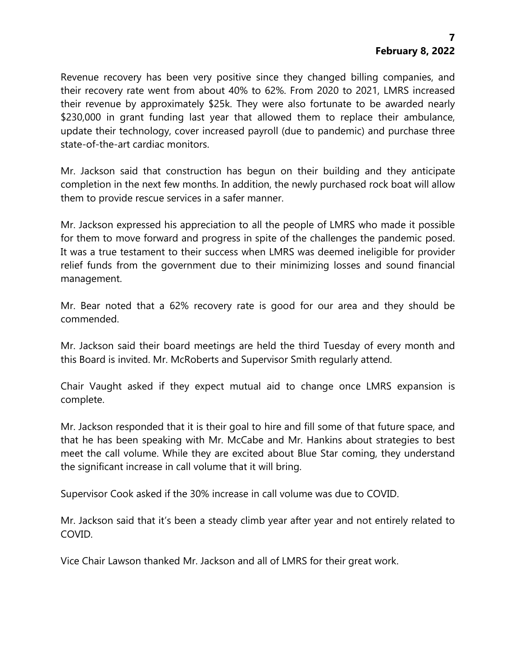Revenue recovery has been very positive since they changed billing companies, and their recovery rate went from about 40% to 62%. From 2020 to 2021, LMRS increased their revenue by approximately \$25k. They were also fortunate to be awarded nearly \$230,000 in grant funding last year that allowed them to replace their ambulance, update their technology, cover increased payroll (due to pandemic) and purchase three state-of-the-art cardiac monitors.

Mr. Jackson said that construction has begun on their building and they anticipate completion in the next few months. In addition, the newly purchased rock boat will allow them to provide rescue services in a safer manner.

Mr. Jackson expressed his appreciation to all the people of LMRS who made it possible for them to move forward and progress in spite of the challenges the pandemic posed. It was a true testament to their success when LMRS was deemed ineligible for provider relief funds from the government due to their minimizing losses and sound financial management.

Mr. Bear noted that a 62% recovery rate is good for our area and they should be commended.

Mr. Jackson said their board meetings are held the third Tuesday of every month and this Board is invited. Mr. McRoberts and Supervisor Smith regularly attend.

Chair Vaught asked if they expect mutual aid to change once LMRS expansion is complete.

Mr. Jackson responded that it is their goal to hire and fill some of that future space, and that he has been speaking with Mr. McCabe and Mr. Hankins about strategies to best meet the call volume. While they are excited about Blue Star coming, they understand the significant increase in call volume that it will bring.

Supervisor Cook asked if the 30% increase in call volume was due to COVID.

Mr. Jackson said that it's been a steady climb year after year and not entirely related to COVID.

Vice Chair Lawson thanked Mr. Jackson and all of LMRS for their great work.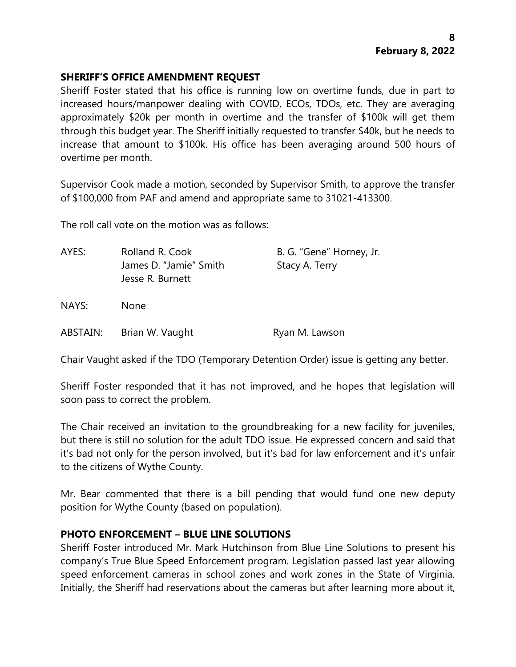## **SHERIFF'S OFFICE AMENDMENT REQUEST**

Sheriff Foster stated that his office is running low on overtime funds, due in part to increased hours/manpower dealing with COVID, ECOs, TDOs, etc. They are averaging approximately \$20k per month in overtime and the transfer of \$100k will get them through this budget year. The Sheriff initially requested to transfer \$40k, but he needs to increase that amount to \$100k. His office has been averaging around 500 hours of overtime per month.

Supervisor Cook made a motion, seconded by Supervisor Smith, to approve the transfer of \$100,000 from PAF and amend and appropriate same to 31021-413300.

The roll call vote on the motion was as follows:

| AYES:    | Rolland R. Cook<br>James D. "Jamie" Smith<br>Jesse R. Burnett | B. G. "Gene" Horney, Jr.<br>Stacy A. Terry |
|----------|---------------------------------------------------------------|--------------------------------------------|
| NAYS:    | None                                                          |                                            |
| ABSTAIN: | Brian W. Vaught                                               | Ryan M. Lawson                             |

Chair Vaught asked if the TDO (Temporary Detention Order) issue is getting any better.

Sheriff Foster responded that it has not improved, and he hopes that legislation will soon pass to correct the problem.

The Chair received an invitation to the groundbreaking for a new facility for juveniles, but there is still no solution for the adult TDO issue. He expressed concern and said that it's bad not only for the person involved, but it's bad for law enforcement and it's unfair to the citizens of Wythe County.

Mr. Bear commented that there is a bill pending that would fund one new deputy position for Wythe County (based on population).

### **PHOTO ENFORCEMENT – BLUE LINE SOLUTIONS**

Sheriff Foster introduced Mr. Mark Hutchinson from Blue Line Solutions to present his company's True Blue Speed Enforcement program. Legislation passed last year allowing speed enforcement cameras in school zones and work zones in the State of Virginia. Initially, the Sheriff had reservations about the cameras but after learning more about it,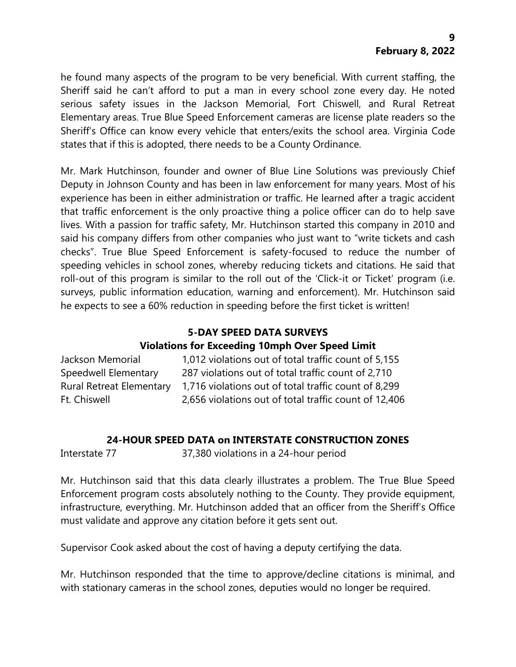he found many aspects of the program to be very beneficial. With current staffing, the Sheriff said he can't afford to put a man in every school zone every day. He noted serious safety issues in the Jackson Memorial, Fort Chiswell, and Rural Retreat Elementary areas. True Blue Speed Enforcement cameras are license plate readers so the Sheriff's Office can know every vehicle that enters/exits the school area. Virginia Code states that if this is adopted, there needs to be a County Ordinance.

Mr. Mark Hutchinson, founder and owner of Blue Line Solutions was previously Chief Deputy in Johnson County and has been in law enforcement for many years. Most of his experience has been in either administration or traffic. He learned after a tragic accident that traffic enforcement is the only proactive thing a police officer can do to help save lives. With a passion for traffic safety, Mr. Hutchinson started this company in 2010 and said his company differs from other companies who just want to "write tickets and cash checks". True Blue Speed Enforcement is safety-focused to reduce the number of speeding vehicles in school zones, whereby reducing tickets and citations. He said that roll-out of this program is similar to the roll out of the 'Click-it or Ticket' program (i.e. surveys, public information education, warning and enforcement). Mr. Hutchinson said he expects to see a 60% reduction in speeding before the first ticket is written!

# **5-DAY SPEED DATA SURVEYS**

# **Violations for Exceeding 10mph Over Speed Limit**

| Jackson Memorial                | 1,012 violations out of total traffic count of 5,155  |
|---------------------------------|-------------------------------------------------------|
| Speedwell Elementary            | 287 violations out of total traffic count of 2,710    |
| <b>Rural Retreat Elementary</b> | 1,716 violations out of total traffic count of 8,299  |
| Ft. Chiswell                    | 2,656 violations out of total traffic count of 12,406 |

# **24-HOUR SPEED DATA on INTERSTATE CONSTRUCTION ZONES**

Interstate 77 37,380 violations in a 24-hour period

Mr. Hutchinson said that this data clearly illustrates a problem. The True Blue Speed Enforcement program costs absolutely nothing to the County. They provide equipment, infrastructure, everything. Mr. Hutchinson added that an officer from the Sheriff's Office must validate and approve any citation before it gets sent out.

Supervisor Cook asked about the cost of having a deputy certifying the data.

Mr. Hutchinson responded that the time to approve/decline citations is minimal, and with stationary cameras in the school zones, deputies would no longer be required.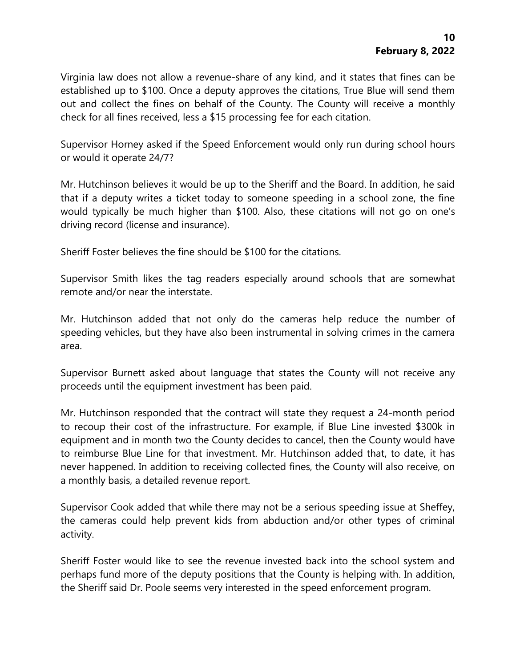Virginia law does not allow a revenue-share of any kind, and it states that fines can be established up to \$100. Once a deputy approves the citations, True Blue will send them out and collect the fines on behalf of the County. The County will receive a monthly check for all fines received, less a \$15 processing fee for each citation.

Supervisor Horney asked if the Speed Enforcement would only run during school hours or would it operate 24/7?

Mr. Hutchinson believes it would be up to the Sheriff and the Board. In addition, he said that if a deputy writes a ticket today to someone speeding in a school zone, the fine would typically be much higher than \$100. Also, these citations will not go on one's driving record (license and insurance).

Sheriff Foster believes the fine should be \$100 for the citations.

Supervisor Smith likes the tag readers especially around schools that are somewhat remote and/or near the interstate.

Mr. Hutchinson added that not only do the cameras help reduce the number of speeding vehicles, but they have also been instrumental in solving crimes in the camera area.

Supervisor Burnett asked about language that states the County will not receive any proceeds until the equipment investment has been paid.

Mr. Hutchinson responded that the contract will state they request a 24-month period to recoup their cost of the infrastructure. For example, if Blue Line invested \$300k in equipment and in month two the County decides to cancel, then the County would have to reimburse Blue Line for that investment. Mr. Hutchinson added that, to date, it has never happened. In addition to receiving collected fines, the County will also receive, on a monthly basis, a detailed revenue report.

Supervisor Cook added that while there may not be a serious speeding issue at Sheffey, the cameras could help prevent kids from abduction and/or other types of criminal activity.

Sheriff Foster would like to see the revenue invested back into the school system and perhaps fund more of the deputy positions that the County is helping with. In addition, the Sheriff said Dr. Poole seems very interested in the speed enforcement program.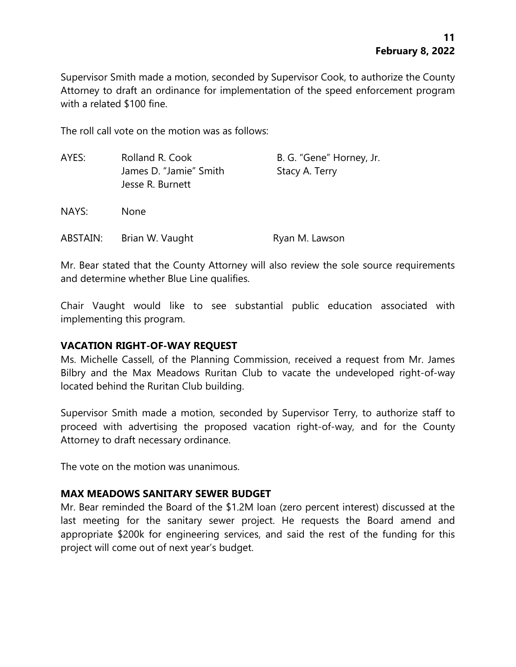Supervisor Smith made a motion, seconded by Supervisor Cook, to authorize the County Attorney to draft an ordinance for implementation of the speed enforcement program with a related \$100 fine.

The roll call vote on the motion was as follows:

| AYES:    | Rolland R. Cook<br>James D. "Jamie" Smith<br>Jesse R. Burnett | B. G. "Gene" Horney, Jr.<br>Stacy A. Terry |
|----------|---------------------------------------------------------------|--------------------------------------------|
| NAYS:    | <b>None</b>                                                   |                                            |
| ABSTAIN: | Brian W. Vaught                                               | Ryan M. Lawson                             |

Mr. Bear stated that the County Attorney will also review the sole source requirements and determine whether Blue Line qualifies.

Chair Vaught would like to see substantial public education associated with implementing this program.

### **VACATION RIGHT-OF-WAY REQUEST**

Ms. Michelle Cassell, of the Planning Commission, received a request from Mr. James Bilbry and the Max Meadows Ruritan Club to vacate the undeveloped right-of-way located behind the Ruritan Club building.

Supervisor Smith made a motion, seconded by Supervisor Terry, to authorize staff to proceed with advertising the proposed vacation right-of-way, and for the County Attorney to draft necessary ordinance.

The vote on the motion was unanimous.

### **MAX MEADOWS SANITARY SEWER BUDGET**

Mr. Bear reminded the Board of the \$1.2M loan (zero percent interest) discussed at the last meeting for the sanitary sewer project. He requests the Board amend and appropriate \$200k for engineering services, and said the rest of the funding for this project will come out of next year's budget.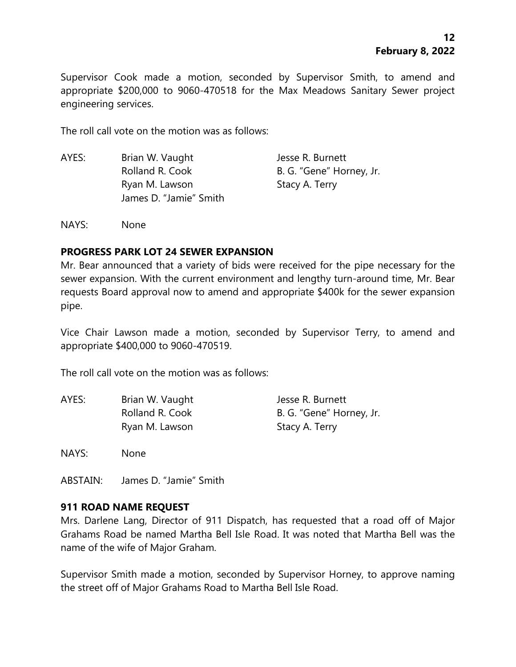Supervisor Cook made a motion, seconded by Supervisor Smith, to amend and appropriate \$200,000 to 9060-470518 for the Max Meadows Sanitary Sewer project engineering services.

The roll call vote on the motion was as follows:

AYES: Brian W. Vaught Jesse R. Burnett Rolland R. Cook B. G. "Gene" Horney, Jr. Ryan M. Lawson Stacy A. Terry James D. "Jamie" Smith

NAYS: None

#### **PROGRESS PARK LOT 24 SEWER EXPANSION**

Mr. Bear announced that a variety of bids were received for the pipe necessary for the sewer expansion. With the current environment and lengthy turn-around time, Mr. Bear requests Board approval now to amend and appropriate \$400k for the sewer expansion pipe.

Vice Chair Lawson made a motion, seconded by Supervisor Terry, to amend and appropriate \$400,000 to 9060-470519.

The roll call vote on the motion was as follows:

| AYES: | Brian W. Vaught | Jesse R. Burnett         |
|-------|-----------------|--------------------------|
|       | Rolland R. Cook | B. G. "Gene" Horney, Jr. |
|       | Ryan M. Lawson  | Stacy A. Terry           |

NAYS: None

ABSTAIN: James D. "Jamie" Smith

#### **911 ROAD NAME REQUEST**

Mrs. Darlene Lang, Director of 911 Dispatch, has requested that a road off of Major Grahams Road be named Martha Bell Isle Road. It was noted that Martha Bell was the name of the wife of Major Graham.

Supervisor Smith made a motion, seconded by Supervisor Horney, to approve naming the street off of Major Grahams Road to Martha Bell Isle Road.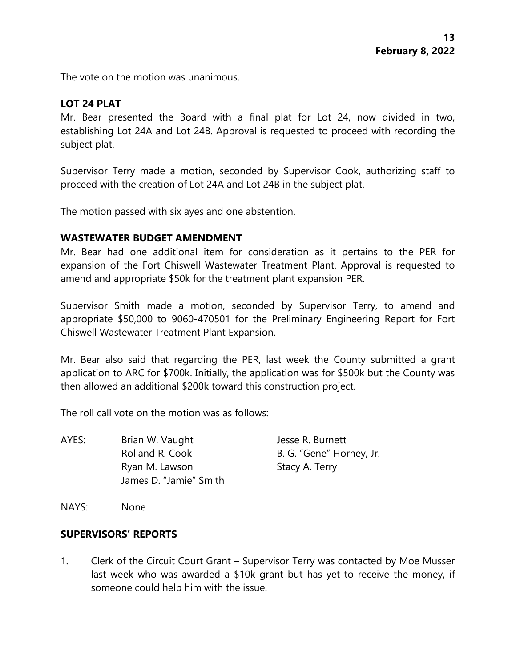The vote on the motion was unanimous.

# **LOT 24 PLAT**

Mr. Bear presented the Board with a final plat for Lot 24, now divided in two, establishing Lot 24A and Lot 24B. Approval is requested to proceed with recording the subject plat.

Supervisor Terry made a motion, seconded by Supervisor Cook, authorizing staff to proceed with the creation of Lot 24A and Lot 24B in the subject plat.

The motion passed with six ayes and one abstention.

### **WASTEWATER BUDGET AMENDMENT**

Mr. Bear had one additional item for consideration as it pertains to the PER for expansion of the Fort Chiswell Wastewater Treatment Plant. Approval is requested to amend and appropriate \$50k for the treatment plant expansion PER.

Supervisor Smith made a motion, seconded by Supervisor Terry, to amend and appropriate \$50,000 to 9060-470501 for the Preliminary Engineering Report for Fort Chiswell Wastewater Treatment Plant Expansion.

Mr. Bear also said that regarding the PER, last week the County submitted a grant application to ARC for \$700k. Initially, the application was for \$500k but the County was then allowed an additional \$200k toward this construction project.

The roll call vote on the motion was as follows:

AYES: Brian W. Vaught Jesse R. Burnett Rolland R. Cook B. G. "Gene" Horney, Jr. Ryan M. Lawson Stacy A. Terry James D. "Jamie" Smith

NAYS: None

### **SUPERVISORS' REPORTS**

1. Clerk of the Circuit Court Grant – Supervisor Terry was contacted by Moe Musser last week who was awarded a \$10k grant but has yet to receive the money, if someone could help him with the issue.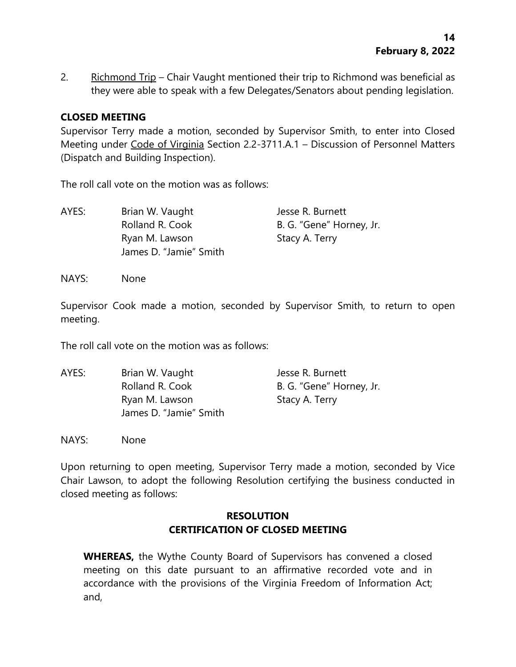2. Richmond Trip – Chair Vaught mentioned their trip to Richmond was beneficial as they were able to speak with a few Delegates/Senators about pending legislation.

# **CLOSED MEETING**

Supervisor Terry made a motion, seconded by Supervisor Smith, to enter into Closed Meeting under Code of Virginia Section 2.2-3711.A.1 – Discussion of Personnel Matters (Dispatch and Building Inspection).

The roll call vote on the motion was as follows:

| AYES: | Brian W. Vaught        | Jesse R. Burnett         |
|-------|------------------------|--------------------------|
|       | Rolland R. Cook        | B. G. "Gene" Horney, Jr. |
|       | Ryan M. Lawson         | Stacy A. Terry           |
|       | James D. "Jamie" Smith |                          |

NAYS: None

Supervisor Cook made a motion, seconded by Supervisor Smith, to return to open meeting.

The roll call vote on the motion was as follows:

| AYES: | Brian W. Vaught        | Jesse R. Burnett         |  |
|-------|------------------------|--------------------------|--|
|       | Rolland R. Cook        | B. G. "Gene" Horney, Jr. |  |
|       | Ryan M. Lawson         | Stacy A. Terry           |  |
|       | James D. "Jamie" Smith |                          |  |

NAYS: None

Upon returning to open meeting, Supervisor Terry made a motion, seconded by Vice Chair Lawson, to adopt the following Resolution certifying the business conducted in closed meeting as follows:

# **RESOLUTION CERTIFICATION OF CLOSED MEETING**

**WHEREAS,** the Wythe County Board of Supervisors has convened a closed meeting on this date pursuant to an affirmative recorded vote and in accordance with the provisions of the Virginia Freedom of Information Act; and,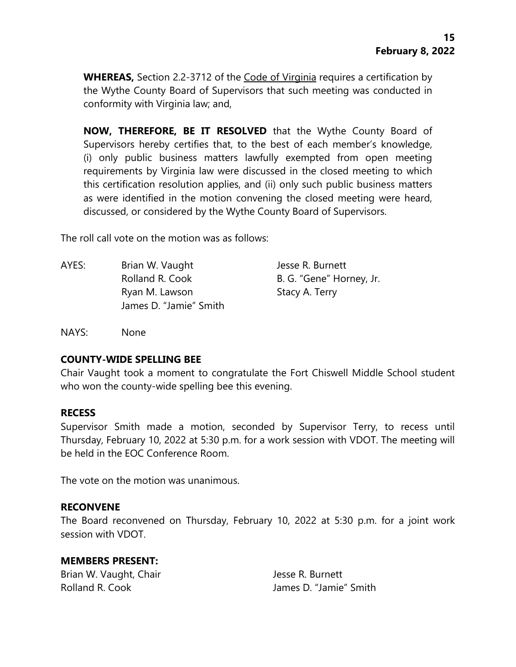**WHEREAS,** Section 2.2-3712 of the Code of Virginia requires a certification by the Wythe County Board of Supervisors that such meeting was conducted in conformity with Virginia law; and,

**NOW, THEREFORE, BE IT RESOLVED** that the Wythe County Board of Supervisors hereby certifies that, to the best of each member's knowledge, (i) only public business matters lawfully exempted from open meeting requirements by Virginia law were discussed in the closed meeting to which this certification resolution applies, and (ii) only such public business matters as were identified in the motion convening the closed meeting were heard, discussed, or considered by the Wythe County Board of Supervisors.

The roll call vote on the motion was as follows:

AYES: Brian W. Vaught Jesse R. Burnett Ryan M. Lawson Stacy A. Terry James D. "Jamie" Smith

Rolland R. Cook B. G. "Gene" Horney, Jr.

NAYS: None

#### **COUNTY-WIDE SPELLING BEE**

Chair Vaught took a moment to congratulate the Fort Chiswell Middle School student who won the county-wide spelling bee this evening.

#### **RECESS**

Supervisor Smith made a motion, seconded by Supervisor Terry, to recess until Thursday, February 10, 2022 at 5:30 p.m. for a work session with VDOT. The meeting will be held in the EOC Conference Room.

The vote on the motion was unanimous.

#### **RECONVENE**

The Board reconvened on Thursday, February 10, 2022 at 5:30 p.m. for a joint work session with VDOT.

#### **MEMBERS PRESENT:**

Brian W. Vaught, Chair **Jesse R. Burnett** 

Rolland R. Cook **In the U. A. Cook** James D. "Jamie" Smith